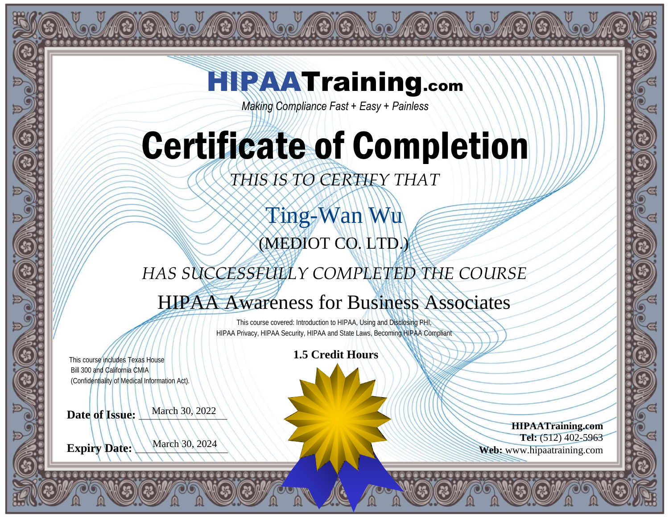### **HIPAATraining.com**

**SO AB GA SO AB GA SO AB GA SO** 

*Making Compliance Fast + Easy + Painless*

## Certificate of Completion

*THIS IS TO CERTIFY THAT*

Ting-Wan Wu (MEDIOT CO. LTD.)

*HAS SUCCESSFULLY COMPLETED THE COURSE*

### HIPAA Awareness for Business Associates

This course covered: Introduction to HIPAA, Using and Disclosing PHI, HIPAA Privacy, HIPAA Security, HIPAA and State Laws, Becoming HIPAA Compliant

This course includes Texas House Bill 300 and California CMIA This course includes Texas House<br>
Bill 300 and California CMIA<br>
(Confidentiality of Medical Information Act).

Date of **Issue**: March 30, 2022

**Expiry Date:** March 30, 2024

**HIPAATraining.com Tel:** (512) 402-5963 **Web:** www.hipaatraining.com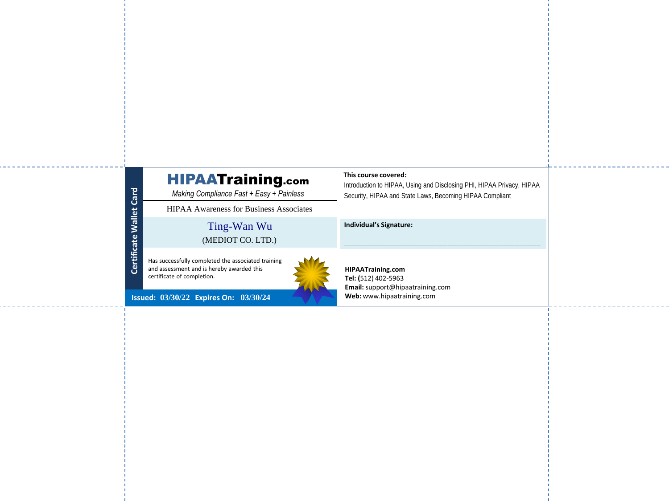#### HIPAATraining.com

*Making Compliance Fast + Easy + Painless*

Ting-Wan Wu HIPAA Awareness for Business Associates<br>
Ting-Wan Wu<br>
(MEDIOT CO. LTD.)

Has successfully completed the associated training and assessment and is hereby awarded this certificate of completion.



**Issued: Expires On: 03/30/22 03/30/24**

**Certificate Wallet Card**

Certificate Wallet Card

#### **This course covered:**

Introduction to HIPAA, Using and Disclosing PHI, HIPAA Privacy, HIPAA Security, HIPAA and State Laws, Becoming HIPAA Compliant

\_\_\_\_\_\_\_\_\_\_\_\_\_\_\_\_\_\_\_\_\_\_\_\_\_\_\_\_\_\_\_\_\_\_\_\_\_\_\_\_\_\_\_\_\_\_\_\_\_\_\_\_\_

**Individual's Signature:** 

**HIPAATraining.com Tel: (**512) 402-5963 **Email:** support@hipaatraining.com **Web:** www.hipaatraining.com